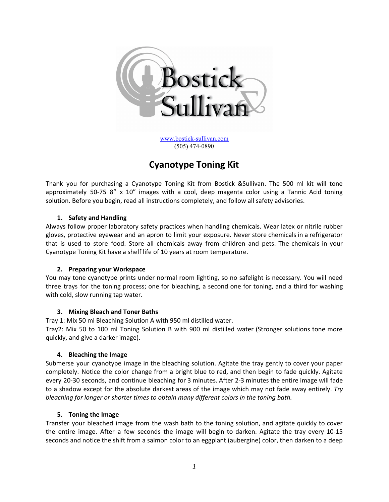

[www.bostick-sullivan.com](http://www.bostick-sullivan.com/) (505) 474-0890

# **Cyanotype Toning Kit**

Thank you for purchasing a Cyanotype Toning Kit from Bostick &Sullivan. The 500 ml kit will tone approximately 50-75  $8''$  x 10" images with a cool, deep magenta color using a Tannic Acid toning solution. Before you begin, read all instructions completely, and follow all safety advisories.

## **1. Safety and Handling**

Always follow proper laboratory safety practices when handling chemicals. Wear latex or nitrile rubber gloves, protective eyewear and an apron to limit your exposure. Never store chemicals in a refrigerator that is used to store food. Store all chemicals away from children and pets. The chemicals in your Cyanotype Toning Kit have a shelf life of 10 years at room temperature.

#### **2. Preparing your Workspace**

You may tone cyanotype prints under normal room lighting, so no safelight is necessary. You will need three trays for the toning process; one for bleaching, a second one for toning, and a third for washing with cold, slow running tap water.

#### **3. Mixing Bleach and Toner Baths**

Tray 1: Mix 50 ml Bleaching Solution A with 950 ml distilled water.

Tray2: Mix 50 to 100 ml Toning Solution B with 900 ml distilled water (Stronger solutions tone more quickly, and give a darker image).

#### **4. Bleaching the Image**

Submerse your cyanotype image in the bleaching solution. Agitate the tray gently to cover your paper completely. Notice the color change from a bright blue to red, and then begin to fade quickly. Agitate every 20-30 seconds, and continue bleaching for 3 minutes. After 2-3 minutes the entire image will fade to a shadow except for the absolute darkest areas of the image which may not fade away entirely. *Try bleaching for longer or shorter times to obtain many different colors in the toning bath.*

#### **5. Toning the Image**

Transfer your bleached image from the wash bath to the toning solution, and agitate quickly to cover the entire image. After a few seconds the image will begin to darken. Agitate the tray every 10-15 seconds and notice the shift from a salmon color to an eggplant (aubergine) color, then darken to a deep